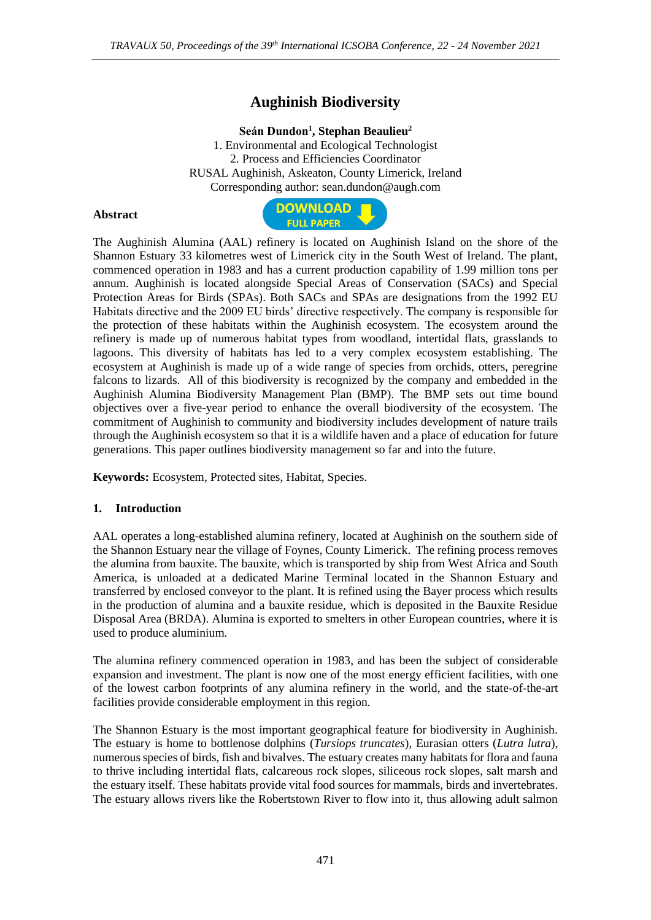# **Aughinish Biodiversity**

### **Seán Dundon<sup>1</sup> , Stephan Beaulieu<sup>2</sup>**

1. Environmental and Ecological Technologist 2. Process and Efficiencies Coordinator RUSAL Aughinish, Askeaton, County Limerick, Ireland Corresponding author: sean.dundon@augh.com

#### **Abstract**



The Aughinish Alumina (AAL) refinery is located on Aughinish Island on the shore of the Shannon Estuary 33 kilometres west of Limerick city in the South West of Ireland. The plant, commenced operation in 1983 and has a current production capability of 1.99 million tons per annum. Aughinish is located alongside Special Areas of Conservation (SACs) and Special Protection Areas for Birds (SPAs). Both SACs and SPAs are designations from the 1992 EU Habitats directive and the 2009 EU birds' directive respectively. The company is responsible for the protection of these habitats within the Aughinish ecosystem. The ecosystem around the refinery is made up of numerous habitat types from woodland, intertidal flats, grasslands to lagoons. This diversity of habitats has led to a very complex ecosystem establishing. The ecosystem at Aughinish is made up of a wide range of species from orchids, otters, peregrine falcons to lizards. All of this biodiversity is recognized by the company and embedded in the Aughinish Alumina Biodiversity Management Plan (BMP). The BMP sets out time bound objectives over a five-year period to enhance the overall biodiversity of the ecosystem. The commitment of Aughinish to community and biodiversity includes development of nature trails through the Aughinish ecosystem so that it is a wildlife haven and a place of education for future generations. This paper outlines biodiversity management so far and into the future.

**Keywords:** Ecosystem, Protected sites, Habitat, Species.

#### **1. Introduction**

AAL operates a long-established alumina refinery, located at Aughinish on the southern side of the Shannon Estuary near the village of Foynes, County Limerick. The refining process removes the alumina from bauxite. The bauxite, which is transported by ship from West Africa and South America, is unloaded at a dedicated Marine Terminal located in the Shannon Estuary and transferred by enclosed conveyor to the plant. It is refined using the Bayer process which results in the production of alumina and a bauxite residue, which is deposited in the Bauxite Residue Disposal Area (BRDA). Alumina is exported to smelters in other European countries, where it is used to produce aluminium.

The alumina refinery commenced operation in 1983, and has been the subject of considerable expansion and investment. The plant is now one of the most energy efficient facilities, with one of the lowest carbon footprints of any alumina refinery in the world, and the state-of-the-art facilities provide considerable employment in this region.

The Shannon Estuary is the most important geographical feature for biodiversity in Aughinish. The estuary is home to bottlenose dolphins (*Tursiops truncates*), Eurasian otters (*Lutra lutra*), numerous species of birds, fish and bivalves. The estuary creates many habitats for flora and fauna to thrive including intertidal flats, calcareous rock slopes, siliceous rock slopes, salt marsh and the estuary itself. These habitats provide vital food sources for mammals, birds and invertebrates. The estuary allows rivers like the Robertstown River to flow into it, thus allowing adult salmon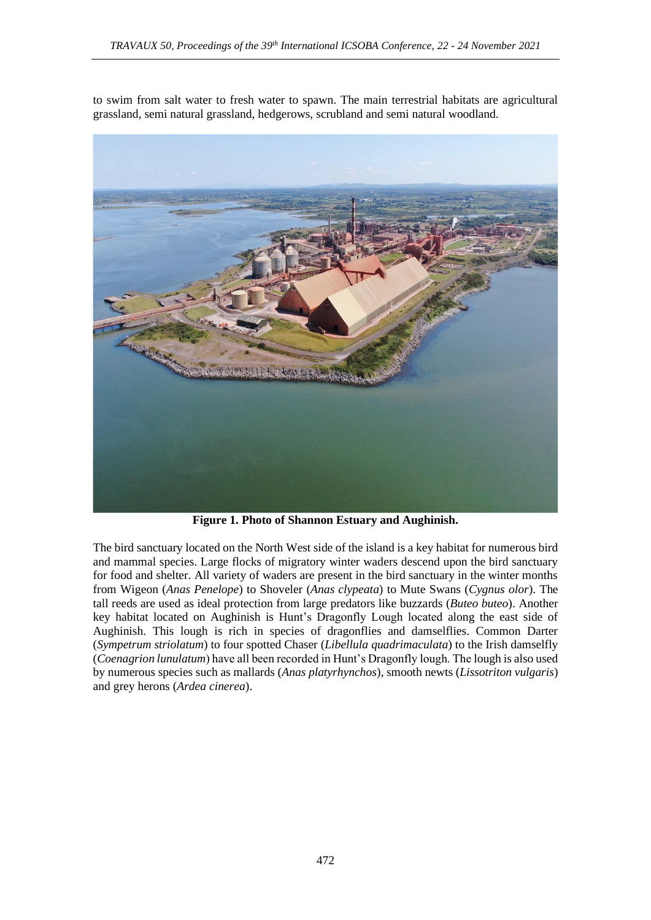to swim from salt water to fresh water to spawn. The main terrestrial habitats are agricultural grassland, semi natural grassland, hedgerows, scrubland and semi natural woodland.



**Figure 1. Photo of Shannon Estuary and Aughinish.**

The bird sanctuary located on the North West side of the island is a key habitat for numerous bird and mammal species. Large flocks of migratory winter waders descend upon the bird sanctuary for food and shelter. All variety of waders are present in the bird sanctuary in the winter months from Wigeon (*Anas Penelope*) to Shoveler (*Anas clypeata*) to Mute Swans (*Cygnus olor*). The tall reeds are used as ideal protection from large predators like buzzards (*Buteo buteo*). Another key habitat located on Aughinish is Hunt's Dragonfly Lough located along the east side of Aughinish. This lough is rich in species of dragonflies and damselflies. Common Darter (*Sympetrum striolatum*) to four spotted Chaser (*Libellula quadrimaculata*) to the Irish damselfly (*Coenagrion lunulatum*) have all been recorded in Hunt's Dragonfly lough. The lough is also used by numerous species such as mallards (*Anas platyrhynchos*), smooth newts (*Lissotriton vulgaris*) and grey herons (*Ardea cinerea*).